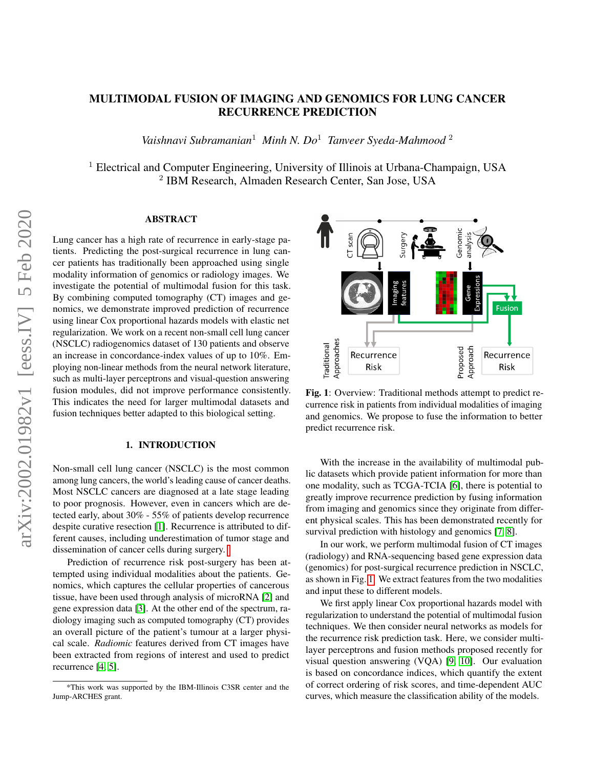## MULTIMODAL FUSION OF IMAGING AND GENOMICS FOR LUNG CANCER RECURRENCE PREDICTION

*Vaishnavi Subramanian*<sup>1</sup> *Minh N. Do*<sup>1</sup> *Tanveer Syeda-Mahmood* <sup>2</sup>

<sup>1</sup> Electrical and Computer Engineering, University of Illinois at Urbana-Champaign, USA 2 IBM Research, Almaden Research Center, San Jose, USA

### ABSTRACT

Lung cancer has a high rate of recurrence in early-stage patients. Predicting the post-surgical recurrence in lung cancer patients has traditionally been approached using single modality information of genomics or radiology images. We investigate the potential of multimodal fusion for this task. By combining computed tomography (CT) images and genomics, we demonstrate improved prediction of recurrence using linear Cox proportional hazards models with elastic net regularization. We work on a recent non-small cell lung cancer (NSCLC) radiogenomics dataset of 130 patients and observe an increase in concordance-index values of up to 10%. Employing non-linear methods from the neural network literature, such as multi-layer perceptrons and visual-question answering fusion modules, did not improve performance consistently. This indicates the need for larger multimodal datasets and fusion techniques better adapted to this biological setting.

#### 1. INTRODUCTION

Non-small cell lung cancer (NSCLC) is the most common among lung cancers, the world's leading cause of cancer deaths. Most NSCLC cancers are diagnosed at a late stage leading to poor prognosis. However, even in cancers which are detected early, about 30% - 55% of patients develop recurrence despite curative resection [\[1\]](#page-4-0). Recurrence is attributed to different causes, including underestimation of tumor stage and dissemination of cancer cells during surgery.

Prediction of recurrence risk post-surgery has been attempted using individual modalities about the patients. Genomics, which captures the cellular properties of cancerous tissue, have been used through analysis of microRNA [\[2\]](#page-4-1) and gene expression data [\[3\]](#page-4-2). At the other end of the spectrum, radiology imaging such as computed tomography (CT) provides an overall picture of the patient's tumour at a larger physical scale. *Radiomic* features derived from CT images have been extracted from regions of interest and used to predict recurrence [\[4,](#page-4-3) [5\]](#page-4-4).

<span id="page-0-0"></span>

Fig. 1: Overview: Traditional methods attempt to predict recurrence risk in patients from individual modalities of imaging and genomics. We propose to fuse the information to better predict recurrence risk.

With the increase in the availability of multimodal public datasets which provide patient information for more than one modality, such as TCGA-TCIA [\[6\]](#page-4-5), there is potential to greatly improve recurrence prediction by fusing information from imaging and genomics since they originate from different physical scales. This has been demonstrated recently for survival prediction with histology and genomics [\[7,](#page-4-6) [8\]](#page-4-7).

In our work, we perform multimodal fusion of CT images (radiology) and RNA-sequencing based gene expression data (genomics) for post-surgical recurrence prediction in NSCLC, as shown in Fig. [1.](#page-0-0) We extract features from the two modalities and input these to different models.

We first apply linear Cox proportional hazards model with regularization to understand the potential of multimodal fusion techniques. We then consider neural networks as models for the recurrence risk prediction task. Here, we consider multilayer perceptrons and fusion methods proposed recently for visual question answering (VQA) [\[9,](#page-4-8) [10\]](#page-4-9). Our evaluation is based on concordance indices, which quantify the extent of correct ordering of risk scores, and time-dependent AUC curves, which measure the classification ability of the models.

<sup>\*</sup>This work was supported by the IBM-Illinois C3SR center and the Jump-ARCHES grant.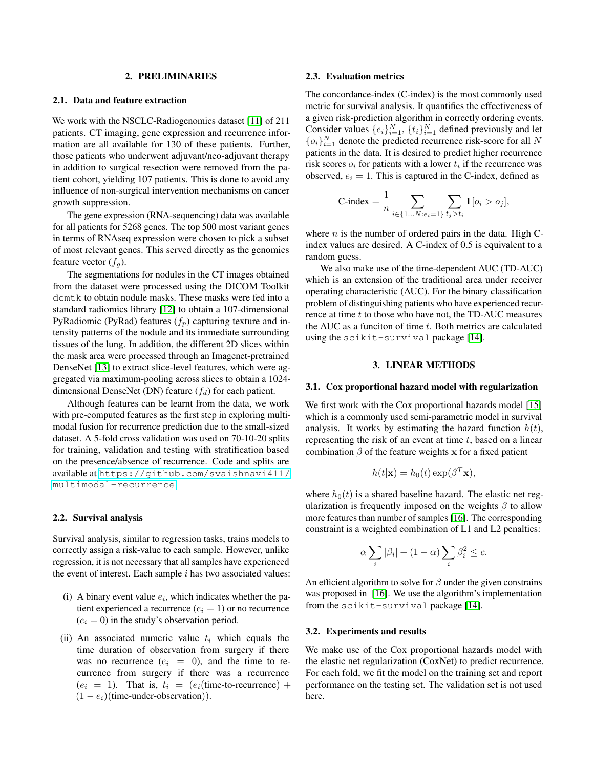#### 2. PRELIMINARIES

#### 2.1. Data and feature extraction

We work with the NSCLC-Radiogenomics dataset [\[11\]](#page-4-10) of 211 patients. CT imaging, gene expression and recurrence information are all available for 130 of these patients. Further, those patients who underwent adjuvant/neo-adjuvant therapy in addition to surgical resection were removed from the patient cohort, yielding 107 patients. This is done to avoid any influence of non-surgical intervention mechanisms on cancer growth suppression.

The gene expression (RNA-sequencing) data was available for all patients for 5268 genes. The top 500 most variant genes in terms of RNAseq expression were chosen to pick a subset of most relevant genes. This served directly as the genomics feature vector  $(f_a)$ .

The segmentations for nodules in the CT images obtained from the dataset were processed using the DICOM Toolkit dcmtk to obtain nodule masks. These masks were fed into a standard radiomics library [\[12\]](#page-4-11) to obtain a 107-dimensional PyRadiomic (PyRad) features  $(f_p)$  capturing texture and intensity patterns of the nodule and its immediate surrounding tissues of the lung. In addition, the different 2D slices within the mask area were processed through an Imagenet-pretrained DenseNet [\[13\]](#page-4-12) to extract slice-level features, which were aggregated via maximum-pooling across slices to obtain a 1024 dimensional DenseNet (DN) feature  $(f_d)$  for each patient.

Although features can be learnt from the data, we work with pre-computed features as the first step in exploring multimodal fusion for recurrence prediction due to the small-sized dataset. A 5-fold cross validation was used on 70-10-20 splits for training, validation and testing with stratification based on the presence/absence of recurrence. Code and splits are available at [https://github.com/svaishnavi411/](https://github.com/svaishnavi411/multimodal-recurrence) [multimodal-recurrence](https://github.com/svaishnavi411/multimodal-recurrence).

#### 2.2. Survival analysis

Survival analysis, similar to regression tasks, trains models to correctly assign a risk-value to each sample. However, unlike regression, it is not necessary that all samples have experienced the event of interest. Each sample  $i$  has two associated values:

- (i) A binary event value  $e_i$ , which indicates whether the patient experienced a recurrence  $(e_i = 1)$  or no recurrence  $(e_i = 0)$  in the study's observation period.
- (ii) An associated numeric value  $t_i$  which equals the time duration of observation from surgery if there was no recurrence  $(e_i = 0)$ , and the time to recurrence from surgery if there was a recurrence  $(e_i = 1)$ . That is,  $t_i = (e_i$ (time-to-recurrence) +  $(1 - e_i)$ (time-under-observation)).

#### 2.3. Evaluation metrics

The concordance-index (C-index) is the most commonly used metric for survival analysis. It quantifies the effectiveness of a given risk-prediction algorithm in correctly ordering events. Consider values  $\{e_i\}_{i=1}^N$ ,  $\{t_i\}_{i=1}^N$  defined previously and let  $\{o_i\}_{i=1}^N$  denote the predicted recurrence risk-score for all N patients in the data. It is desired to predict higher recurrence risk scores  $o_i$  for patients with a lower  $t_i$  if the recurrence was observed,  $e_i = 1$ . This is captured in the C-index, defined as

$$
\text{C-index} = \frac{1}{n} \sum_{i \in \{1...N: e_i = 1\}} \sum_{t_j > t_i} \mathbb{1}[o_i > o_j],
$$

where  $n$  is the number of ordered pairs in the data. High Cindex values are desired. A C-index of 0.5 is equivalent to a random guess.

We also make use of the time-dependent AUC (TD-AUC) which is an extension of the traditional area under receiver operating characteristic (AUC). For the binary classification problem of distinguishing patients who have experienced recurrence at time  $t$  to those who have not, the TD-AUC measures the AUC as a funciton of time  $t$ . Both metrics are calculated using the scikit-survival package [\[14\]](#page-4-13).

#### 3. LINEAR METHODS

#### 3.1. Cox proportional hazard model with regularization

We first work with the Cox proportional hazards model [\[15\]](#page-4-14) which is a commonly used semi-parametric model in survival analysis. It works by estimating the hazard function  $h(t)$ , representing the risk of an event at time  $t$ , based on a linear combination  $\beta$  of the feature weights x for a fixed patient

$$
h(t|\mathbf{x}) = h_0(t) \exp(\beta^T \mathbf{x}),
$$

where  $h_0(t)$  is a shared baseline hazard. The elastic net regularization is frequently imposed on the weights  $\beta$  to allow more features than number of samples [\[16\]](#page-4-15). The corresponding constraint is a weighted combination of L1 and L2 penalties:

$$
\alpha \sum_i |\beta_i| + (1 - \alpha) \sum_i \beta_i^2 \le c.
$$

An efficient algorithm to solve for  $\beta$  under the given constrains was proposed in [\[16\]](#page-4-15). We use the algorithm's implementation from the scikit-survival package [\[14\]](#page-4-13).

#### 3.2. Experiments and results

We make use of the Cox proportional hazards model with the elastic net regularization (CoxNet) to predict recurrence. For each fold, we fit the model on the training set and report performance on the testing set. The validation set is not used here.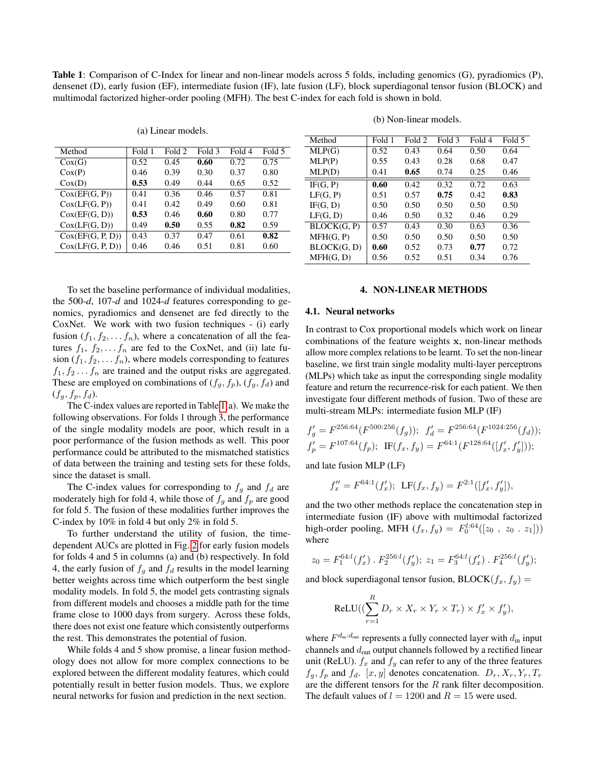<span id="page-2-0"></span>Table 1: Comparison of C-Index for linear and non-linear models across 5 folds, including genomics (G), pyradiomics (P), densenet (D), early fusion (EF), intermediate fusion (IF), late fusion (LF), block superdiagonal tensor fusion (BLOCK) and multimodal factorized higher-order pooling (MFH). The best C-index for each fold is shown in bold.

(a) Linear models.

| Fold 1 | Fold 2 | Fold 3 | Fold 4 | Fold 5 |
|--------|--------|--------|--------|--------|
| 0.52   | 0.45   | 0.60   | 0.72   | 0.75   |
| 0.46   | 0.39   | 0.30   | 0.37   | 0.80   |
| 0.53   | 0.49   | 0.44   | 0.65   | 0.52   |
| 0.41   | 0.36   | 0.46   | 0.57   | 0.81   |
| 0.41   | 0.42   | 0.49   | 0.60   | 0.81   |
| 0.53   | 0.46   | 0.60   | 0.80   | 0.77   |
| 0.49   | 0.50   | 0.55   | 0.82   | 0.59   |
| 0.43   | 0.37   | 0.47   | 0.61   | 0.82   |
| 0.46   | 0.46   | 0.51   | 0.81   | 0.60   |
|        |        |        |        |        |

To set the baseline performance of individual modalities, the 500-*d*, 107-*d* and 1024-*d* features corresponding to genomics, pyradiomics and densenet are fed directly to the CoxNet. We work with two fusion techniques - (i) early fusion  $(f_1, f_2, \ldots, f_n)$ , where a concatenation of all the features  $f_1, f_2, \ldots, f_n$  are fed to the CoxNet, and (ii) late fusion  $(f_1, f_2, \ldots, f_n)$ , where models corresponding to features  $f_1, f_2, \ldots, f_n$  are trained and the output risks are aggregated. These are employed on combinations of  $(f_q, f_p)$ ,  $(f_q, f_d)$  and  $(f_g, f_p, f_d)$ .

The C-index values are reported in Table [1\(](#page-2-0)a). We make the following observations. For folds 1 through 3, the performance of the single modality models are poor, which result in a poor performance of the fusion methods as well. This poor performance could be attributed to the mismatched statistics of data between the training and testing sets for these folds, since the dataset is small.

The C-index values for corresponding to  $f<sub>g</sub>$  and  $f<sub>d</sub>$  are moderately high for fold 4, while those of  $f<sub>q</sub>$  and  $f<sub>p</sub>$  are good for fold 5. The fusion of these modalities further improves the C-index by 10% in fold 4 but only 2% in fold 5.

To further understand the utility of fusion, the timedependent AUCs are plotted in Fig. [2](#page-3-0) for early fusion models for folds 4 and 5 in columns (a) and (b) respectively. In fold 4, the early fusion of  $f_q$  and  $f_d$  results in the model learning better weights across time which outperform the best single modality models. In fold 5, the model gets contrasting signals from different models and chooses a middle path for the time frame close to 1000 days from surgery. Across these folds, there does not exist one feature which consistently outperforms the rest. This demonstrates the potential of fusion.

While folds 4 and 5 show promise, a linear fusion methodology does not allow for more complex connections to be explored between the different modality features, which could potentially result in better fusion models. Thus, we explore neural networks for fusion and prediction in the next section.

| Method   | Fold 1 | Fold 2 | Fold 3 | Fold 4 | Fold 5 |
|----------|--------|--------|--------|--------|--------|
| MLP(G)   | 0.52   | 0.43   | 0.64   | 0.50   | 0.64   |
| MLP(P)   | 0.55   | 0.43   | 0.28   | 0.68   | 0.47   |
| MLP(D)   | 0.41   | 0.65   | 0.74   | 0.25   | 0.46   |
| IF(G, P) | 0.60   | 0.42.  | 0.32   | 0.72   | 0.63   |

LF(G, P)  $\begin{array}{|l} 0.51 \quad 0.57 \quad 0.75 \quad 0.42 \quad 0.83 \end{array}$ IF(G, D) 0.50 0.50 0.50 0.50 0.50 LF(G, D)  $\begin{array}{|l} 0.46 \quad 0.50 \quad 0.32 \quad 0.46 \quad 0.29 \end{array}$ BLOCK(G, P) 0.57 0.43 0.30 0.63 0.36 MFH(G, P)  $\vert 0.50 \vert 0.50 \vert 0.50 \vert 0.50 \vert 0.50 \vert 0.50$  $BLOCK(G, D)$  0.60 0.52 0.73 0.77 0.72 MFH(G, D) | 0.56 0.52 0.51 0.34 0.76

(b) Non-linear models.

# 4. NON-LINEAR METHODS

#### <span id="page-2-1"></span>4.1. Neural networks

In contrast to Cox proportional models which work on linear combinations of the feature weights x, non-linear methods allow more complex relations to be learnt. To set the non-linear baseline, we first train single modality multi-layer perceptrons (MLPs) which take as input the corresponding single modality feature and return the recurrence-risk for each patient. We then investigate four different methods of fusion. Two of these are multi-stream MLPs: intermediate fusion MLP (IF)

$$
f'_g = F^{256:64}(F^{500:256}(f_g)); \ f'_d = F^{256:64}(F^{1024:256}(f_d));
$$
  

$$
f'_p = F^{107:64}(f_p); \ \ \text{IF}(f_x, f_y) = F^{64:1}(F^{128:64}([f'_x, f'_y])),
$$

and late fusion MLP (LF)

$$
f''_x = F^{64:1}(f'_x); \ \ \text{LF}(f_x, f_y) = F^{2:1}([f'_x, f'_y]),
$$

and the two other methods replace the concatenation step in intermediate fusion (IF) above with multimodal factorized high-order pooling, MFH  $(f_x, f_y) = F_0^{l:64}([z_0, z_0 : z_1]))$ where

$$
z_0 = F_1^{64:l}(f'_x) \cdot F_2^{256:l}(f'_y); \ z_1 = F_3^{64:l}(f'_x) \cdot F_4^{256:l}(f'_y);
$$

and block superdiagonal tensor fusion,  $\text{BLOCK}(f_x, f_y) =$ 

$$
ReLU((\sum_{r=1}^{R} D_r \times X_r \times Y_r \times T_r) \times f'_x \times f'_y),
$$

where  $F^{d_{\text{in}}: d_{\text{out}}}$  represents a fully connected layer with  $d_{\text{in}}$  input channels and  $d_{\text{out}}$  output channels followed by a rectified linear unit (ReLU).  $f_x$  and  $f_y$  can refer to any of the three features  $f_g, f_p$  and  $f_d$ .  $[x, y]$  denotes concatenation.  $D_r, X_r, Y_r, T_r$ are the different tensors for the  $R$  rank filter decomposition. The default values of  $l = 1200$  and  $R = 15$  were used.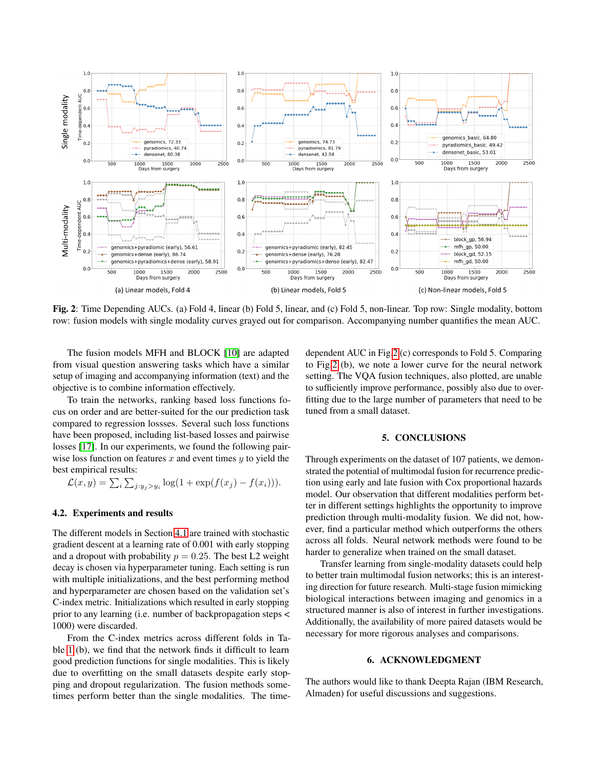<span id="page-3-0"></span>

Fig. 2: Time Depending AUCs. (a) Fold 4, linear (b) Fold 5, linear, and (c) Fold 5, non-linear. Top row: Single modality, bottom row: fusion models with single modality curves grayed out for comparison. Accompanying number quantifies the mean AUC.

The fusion models MFH and BLOCK [\[10\]](#page-4-9) are adapted from visual question answering tasks which have a similar setup of imaging and accompanying information (text) and the objective is to combine information effectively.

To train the networks, ranking based loss functions focus on order and are better-suited for the our prediction task compared to regression lossses. Several such loss functions have been proposed, including list-based losses and pairwise losses [\[17\]](#page-4-16). In our experiments, we found the following pairwise loss function on features  $x$  and event times  $y$  to yield the best empirical results:

$$
\mathcal{L}(x, y) = \sum_{i} \sum_{j: y_j > y_i} \log(1 + \exp(f(x_j) - f(x_i))).
$$

#### 4.2. Experiments and results

The different models in Section [4.1](#page-2-1) are trained with stochastic gradient descent at a learning rate of 0.001 with early stopping and a dropout with probability  $p = 0.25$ . The best L2 weight decay is chosen via hyperparameter tuning. Each setting is run with multiple initializations, and the best performing method and hyperparameter are chosen based on the validation set's C-index metric. Initializations which resulted in early stopping prior to any learning (i.e. number of backpropagation steps < 1000) were discarded.

From the C-index metrics across different folds in Table [1](#page-2-0) (b), we find that the network finds it difficult to learn good prediction functions for single modalities. This is likely due to overfitting on the small datasets despite early stopping and dropout regularization. The fusion methods sometimes perform better than the single modalities. The timedependent AUC in Fig[.2](#page-3-0) (c) corresponds to Fold 5. Comparing to Fig[.2](#page-3-0) (b), we note a lower curve for the neural network setting. The VQA fusion techniques, also plotted, are unable to sufficiently improve performance, possibly also due to overfitting due to the large number of parameters that need to be tuned from a small dataset.

#### 5. CONCLUSIONS

Through experiments on the dataset of 107 patients, we demonstrated the potential of multimodal fusion for recurrence prediction using early and late fusion with Cox proportional hazards model. Our observation that different modalities perform better in different settings highlights the opportunity to improve prediction through multi-modality fusion. We did not, however, find a particular method which outperforms the others across all folds. Neural network methods were found to be harder to generalize when trained on the small dataset.

Transfer learning from single-modality datasets could help to better train multimodal fusion networks; this is an interesting direction for future research. Multi-stage fusion mimicking biological interactions between imaging and genomics in a structured manner is also of interest in further investigations. Additionally, the availability of more paired datasets would be necessary for more rigorous analyses and comparisons.

#### 6. ACKNOWLEDGMENT

The authors would like to thank Deepta Rajan (IBM Research, Almaden) for useful discussions and suggestions.